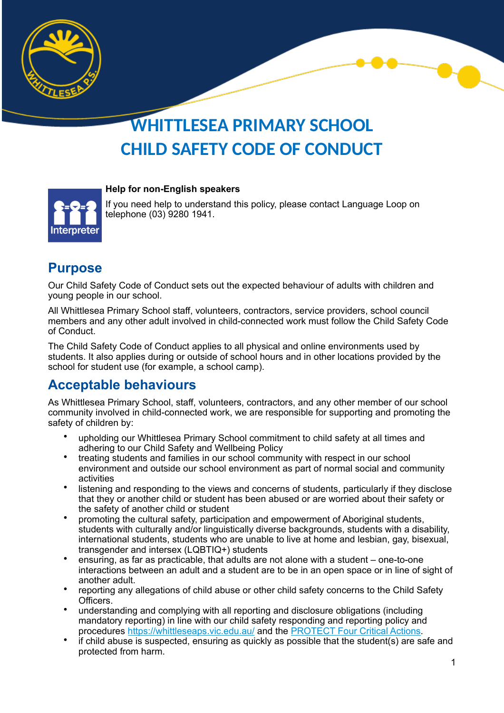

# **WHITTLESEA PRIMARY SCHOOL CHILD SAFETY CODE OF CONDUCT**

#### **Help for non-English speakers**



If you need help to understand this policy, please contact Language Loop on telephone [\(03\) 9280 1941.](https://www.google.com/search?gs_ssp=eJzj4tZP1zcsyU0qN6_MNWC0UjWoMEtMMTNNMUkySU0yNDRKNbcyqDBNS7IwNkwxsTAzSjFINTTx4s1JzEsvTUxPVcjJzy8AAJsnFCw&q=language+loop&rlz=1C1GCEA_enAU945AU945&oq=Language+Loop&aqs=chrome.1.0i131i355i433i512j46i131i175i199i433i512j0i512l8.5554j0j15&sourceid=chrome&ie=UTF-8&safe=active&ssui=on)

#### **Purpose**

Our Child Safety Code of Conduct sets out the expected behaviour of adults with children and young people in our school.

All Whittlesea Primary School staff, volunteers, contractors, service providers, school council members and any other adult involved in child-connected work must follow the Child Safety Code of Conduct.

The Child Safety Code of Conduct applies to all physical and online environments used by students. It also applies during or outside of school hours and in other locations provided by the school for student use (for example, a school camp).

#### **Acceptable behaviours**

As Whittlesea Primary School, staff, volunteers, contractors, and any other member of our school community involved in child-connected work, we are responsible for supporting and promoting the safety of children by:

- upholding our Whittlesea Primary School commitment to child safety at all times and adhering to our Child Safety and Wellbeing Policy
- treating students and families in our school community with respect in our school environment and outside our school environment as part of normal social and community activities
- listening and responding to the views and concerns of students, particularly if they disclose that they or another child or student has been abused or are worried about their safety or the safety of another child or student
- promoting the cultural safety, participation and empowerment of Aboriginal students, students with culturally and/or linguistically diverse backgrounds, students with a disability, international students, students who are unable to live at home and lesbian, gay, bisexual, transgender and intersex (LQBTIQ+) students
- ensuring, as far as practicable, that adults are not alone with a student one-to-one interactions between an adult and a student are to be in an open space or in line of sight of another adult.
- reporting any allegations of child abuse or other child safety concerns to the Child Safety Officers.
- understanding and complying with all reporting and disclosure obligations (including mandatory reporting) in line with our child safety responding and reporting policy and procedures <https://whittleseaps.vic.edu.au/>and the [PROTECT Four Critical Actions.](https://www.education.vic.gov.au/Documents/about/programs/health/protect/FourCriticalActions_ChildAbuse.pdf)
- if child abuse is suspected, ensuring as quickly as possible that the student(s) are safe and protected from harm.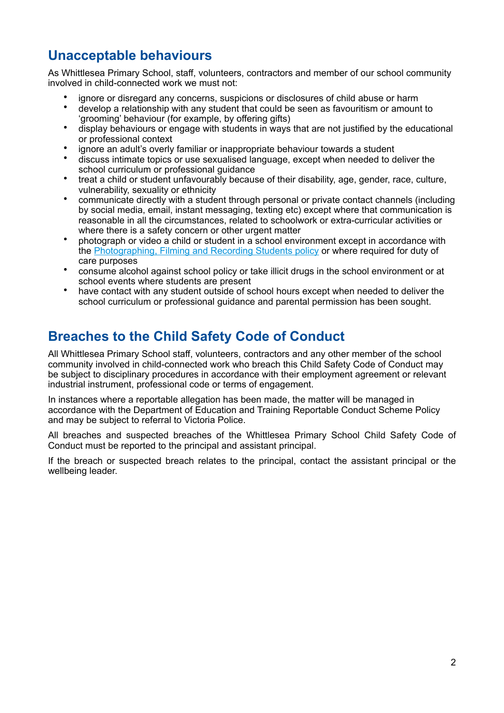### **Unacceptable behaviours**

As Whittlesea Primary School, staff, volunteers, contractors and member of our school community involved in child-connected work we must not:

- ignore or disregard any concerns, suspicions or disclosures of child abuse or harm
- develop a relationship with any student that could be seen as favouritism or amount to 'grooming' behaviour (for example, by offering gifts)
- display behaviours or engage with students in ways that are not justified by the educational or professional context
- ignore an adult's overly familiar or inappropriate behaviour towards a student
- discuss intimate topics or use sexualised language, except when needed to deliver the school curriculum or professional guidance
- treat a child or student unfavourably because of their disability, age, gender, race, culture, vulnerability, sexuality or ethnicity
- communicate directly with a student through personal or private contact channels (including by social media, email, instant messaging, texting etc) except where that communication is reasonable in all the circumstances, related to schoolwork or extra-curricular activities or where there is a safety concern or other urgent matter
- photograph or video a child or student in a school environment except in accordance with the [Photographing, Filming and Recording Students policy](https://www2.education.vic.gov.au/pal/photographing-students/policy) or where required for duty of care purposes
- consume alcohol against school policy or take illicit drugs in the school environment or at school events where students are present
- have contact with any student outside of school hours except when needed to deliver the school curriculum or professional guidance and parental permission has been sought.

#### **Breaches to the Child Safety Code of Conduct**

All Whittlesea Primary School staff, volunteers, contractors and any other member of the school community involved in child-connected work who breach this Child Safety Code of Conduct may be subject to disciplinary procedures in accordance with their employment agreement or relevant industrial instrument, professional code or terms of engagement.

In instances where a reportable allegation has been made, the matter will be managed in accordance with the Department of Education and Training Reportable Conduct Scheme Policy and may be subject to referral to Victoria Police.

All breaches and suspected breaches of the Whittlesea Primary School Child Safety Code of Conduct must be reported to the principal and assistant principal.

If the breach or suspected breach relates to the principal, contact the assistant principal or the wellbeing leader.